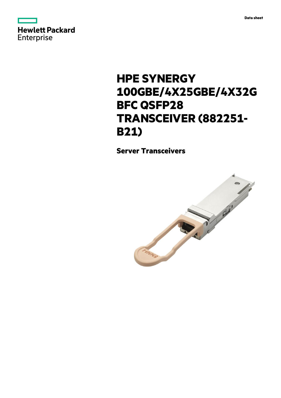



# **HPE SYNERGY 100GBE/4X25GBE/4X32G BFC QSFP28 TRANSCEIVER (882251- B21)**

**Server Transceivers**

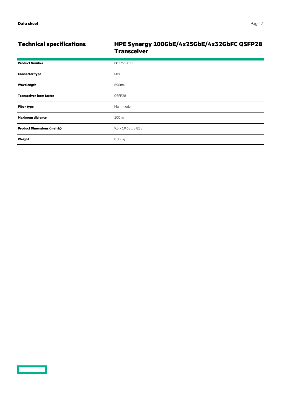<u>and the second part of the second part of the second part of the second part of the second part of the second part of the second part of the second part of the second part of the second part of the second part of the seco</u>

# **Technical specifications HPE Synergy 100GbE/4x25GbE/4x32GbFC QSFP28 Transceiver**

| <b>Product Number</b>              | 882251-B21                        |
|------------------------------------|-----------------------------------|
| <b>Connector type</b>              | <b>MPO</b>                        |
| Wavelength                         | 850nm                             |
| <b>Transceiver form factor</b>     | QSFP28                            |
| <b>Fiber type</b>                  | Multi-mode                        |
| <b>Maximum distance</b>            | 100 m                             |
| <b>Product Dimensions (metric)</b> | $9.5 \times 19.68 \times 3.81$ cm |
| Weight                             | 0.08 kg                           |